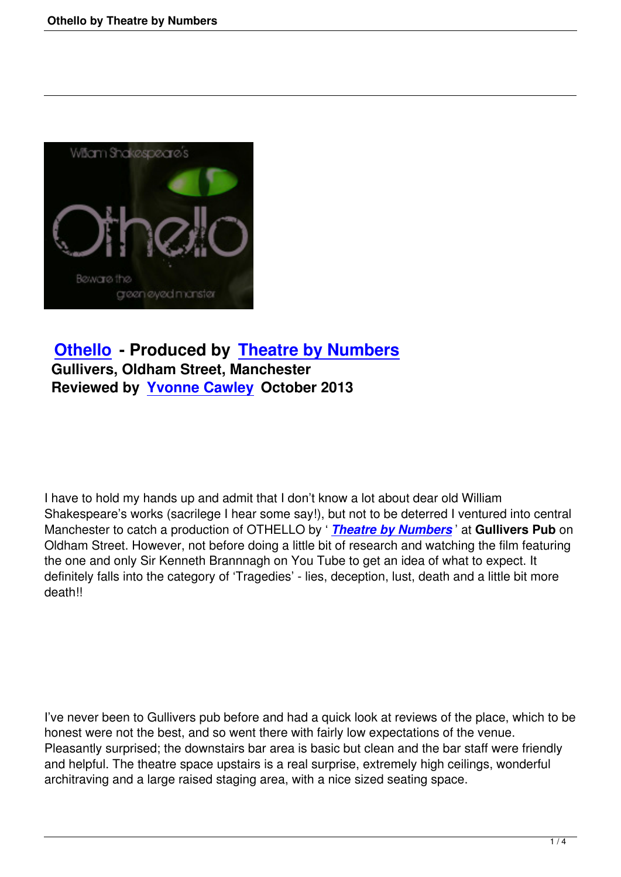

## **Othello - Produced by Theatre by Numbers Gullivers, Oldham Street, Manchester [Reviewed](othello-theatre-by-numbers.html) by Yvonne Cawl[ey October 2013](othello-theatre-by-numbers.html)**

I have to hold my hands up and admit that I don't know a lot about dear old William Shakespeare's works (sacrilege I hear some say!), but not to be deterred I ventured into central Manchester to catch a production of OTHELLO by ' *Theatre by Numbers* ' at **Gullivers Pub** on Oldham Street. However, not before doing a little bit of research and watching the film featuring the one and only Sir Kenneth Brannnagh on You Tube to get an idea of what to expect. It definitely falls into the category of 'Tragedies' - lies, [deception, lust, death](http://www.theatrebynumbers.co.uk/index.html) and a little bit more death!!

I've never been to Gullivers pub before and had a quick look at reviews of the place, which to be honest were not the best, and so went there with fairly low expectations of the venue. Pleasantly surprised; the downstairs bar area is basic but clean and the bar staff were friendly and helpful. The theatre space upstairs is a real surprise, extremely high ceilings, wonderful architraving and a large raised staging area, with a nice sized seating space.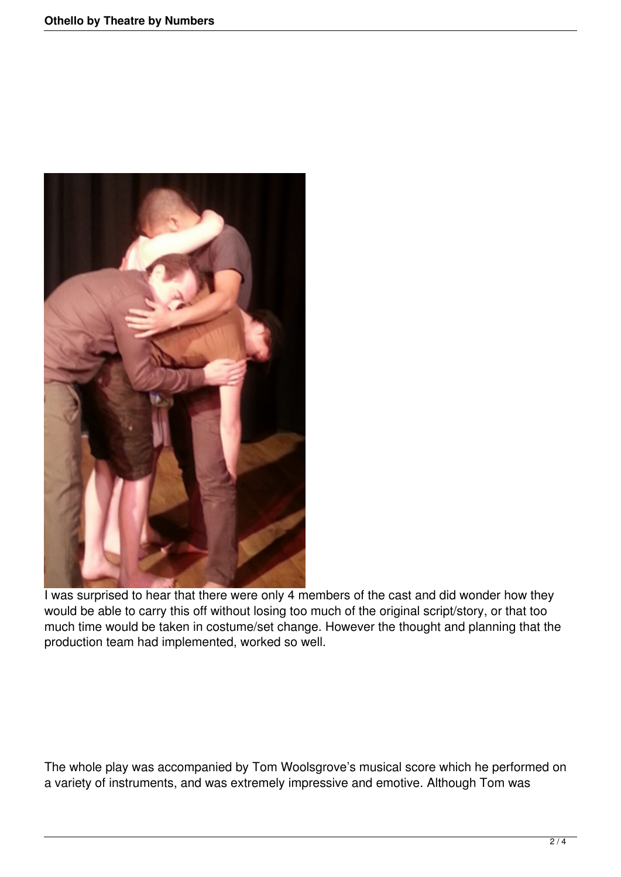

I was surprised to hear that there were only 4 members of the cast and did wonder how they would be able to carry this off without losing too much of the original script/story, or that too much time would be taken in costume/set change. However the thought and planning that the production team had implemented, worked so well.

The whole play was accompanied by Tom Woolsgrove's musical score which he performed on a variety of instruments, and was extremely impressive and emotive. Although Tom was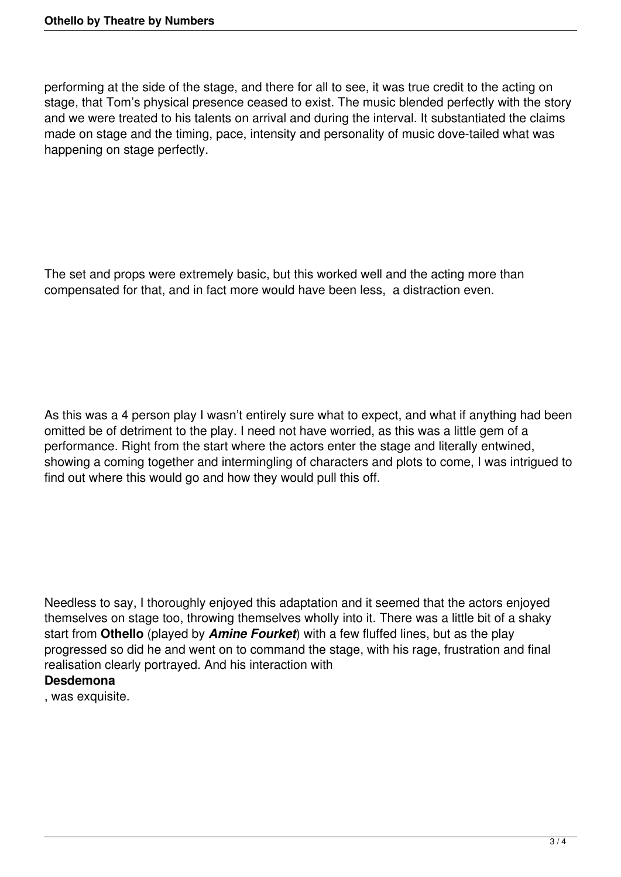performing at the side of the stage, and there for all to see, it was true credit to the acting on stage, that Tom's physical presence ceased to exist. The music blended perfectly with the story and we were treated to his talents on arrival and during the interval. It substantiated the claims made on stage and the timing, pace, intensity and personality of music dove-tailed what was happening on stage perfectly.

The set and props were extremely basic, but this worked well and the acting more than compensated for that, and in fact more would have been less, a distraction even.

As this was a 4 person play I wasn't entirely sure what to expect, and what if anything had been omitted be of detriment to the play. I need not have worried, as this was a little gem of a performance. Right from the start where the actors enter the stage and literally entwined, showing a coming together and intermingling of characters and plots to come, I was intrigued to find out where this would go and how they would pull this off.

Needless to say, I thoroughly enjoyed this adaptation and it seemed that the actors enjoyed themselves on stage too, throwing themselves wholly into it. There was a little bit of a shaky start from **Othello** (played by *Amine Fourket*) with a few fluffed lines, but as the play progressed so did he and went on to command the stage, with his rage, frustration and final realisation clearly portrayed. And his interaction with

## **Desdemona**

, was exquisite.